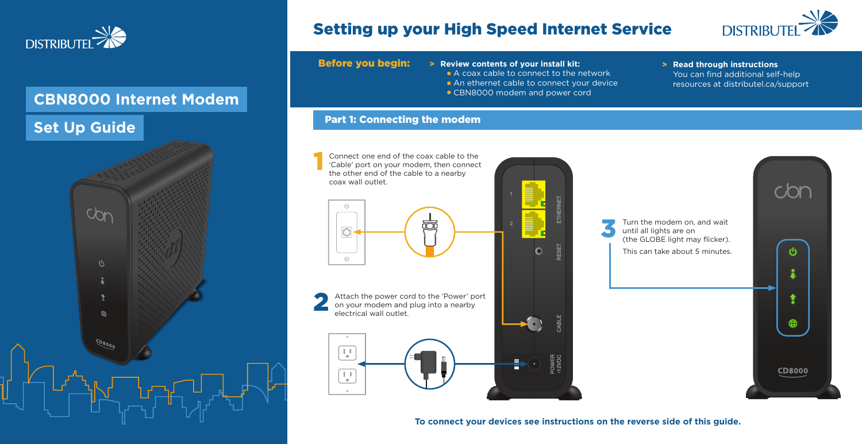www.distributel.ca

You can find additional self-help resources at distributel.ca/support

Connect one end of the coax cable to the 'Cable' port on your modem, then connect the other end of the cable to a nearby coax wall outlet.



Attach the power cord to the 'Power' port on your modem and plug into a nearby electrical wall outlet. 2







1

**Before you begin:** > Review contents of your install kit: > > Read through instructions

- A coax cable to connect to the network
- An ethernet cable to connect your device
- **CBN8000 modem and power cord**

3

## Part 1: Connecting the modem

# Setting up your High Speed Internet Service



## **CBN8000 Internet Modem**

## **Set Up Guide**



**To connect your devices see instructions on the reverse side of this guide.**